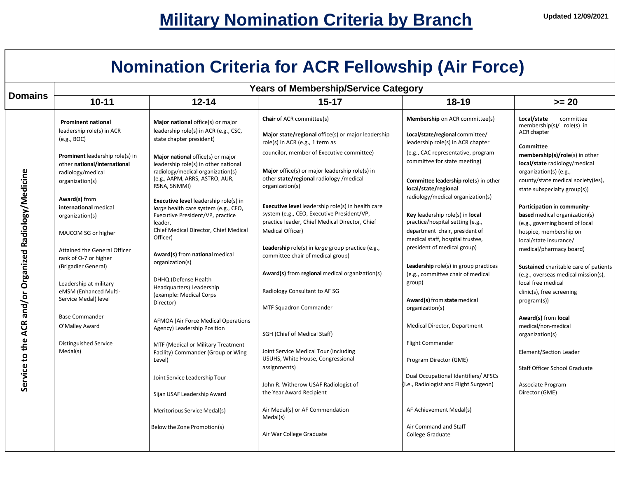## **Nomination Criteria for ACR Fellowship (Air Force)**

| <b>Domains</b>                                         | <b>Years of Membership/Service Category</b>                                          |                                                                                                                                     |                                                                                                                                                          |                                                                                                          |                                                                                                        |  |
|--------------------------------------------------------|--------------------------------------------------------------------------------------|-------------------------------------------------------------------------------------------------------------------------------------|----------------------------------------------------------------------------------------------------------------------------------------------------------|----------------------------------------------------------------------------------------------------------|--------------------------------------------------------------------------------------------------------|--|
|                                                        | $10 - 11$                                                                            | $12 - 14$                                                                                                                           | $15 - 17$                                                                                                                                                | $18 - 19$                                                                                                | $>= 20$                                                                                                |  |
|                                                        | <b>Prominent national</b><br>leadership role(s) in ACR                               | Major national office(s) or major<br>leadership role(s) in ACR (e.g., CSC,                                                          | <b>Chair</b> of ACR committee(s)                                                                                                                         | Membership on ACR committee(s)                                                                           | Local/state<br>committee<br>membership(s)/ role(s) in                                                  |  |
|                                                        | (e.g., BOC)                                                                          | state chapter president)                                                                                                            | Major state/regional office(s) or major leadership<br>role(s) in ACR (e.g., 1 term as                                                                    | Local/state/regional committee/<br>leadership role(s) in ACR chapter                                     | ACR chapter<br>Committee                                                                               |  |
|                                                        | Prominent leadership role(s) in<br>other national/international<br>radiology/medical | Major national office(s) or major<br>leadership role(s) in other national<br>radiology/medical organization(s)                      | councilor, member of Executive committee)<br>Major office(s) or major leadership role(s) in                                                              | (e.g., CAC representative, program<br>committee for state meeting)                                       | membership(s)/role(s) in other<br>local/state radiology/medical<br>organization(s) (e.g.,              |  |
|                                                        | organization(s)                                                                      | (e.g., AAPM, ARRS, ASTRO, AUR,<br>RSNA, SNMMI)                                                                                      | other state/regional radiology /medical<br>organization(s)                                                                                               | Committee leadership role(s) in other<br>local/state/regional                                            | county/state medical society(ies),<br>state subspecialty group(s))                                     |  |
|                                                        | Award(s) from<br>international medical<br>organization(s)                            | <b>Executive level leadership role(s) in</b><br>large health care system (e.g., CEO,<br>Executive President/VP, practice<br>leader, | <b>Executive level</b> leadership role(s) in health care<br>system (e.g., CEO, Executive President/VP,<br>practice leader, Chief Medical Director, Chief | radiology/medical organization(s)<br>Key leadership role(s) in local<br>practice/hospital setting (e.g., | Participation in community-<br><b>based</b> medical organization(s)<br>(e.g., governing board of local |  |
|                                                        | MAJCOM SG or higher                                                                  | Chief Medical Director, Chief Medical<br>Officer)                                                                                   | Medical Officer)                                                                                                                                         | department chair, president of<br>medical staff, hospital trustee,                                       | hospice, membership on<br>local/state insurance/                                                       |  |
|                                                        | Attained the General Officer<br>rank of O-7 or higher<br>(Brigadier General)         | Award(s) from national medical<br>organization(s)                                                                                   | Leadership role(s) in <i>large</i> group practice (e.g.,<br>committee chair of medical group)                                                            | president of medical group)<br>Leadership role(s) in group practices                                     | medical/pharmacy board)<br>Sustained charitable care of patients                                       |  |
|                                                        | Leadership at military                                                               | DHHQ (Defense Health<br>Headquarters) Leadership                                                                                    | Award(s) from regional medical organization(s)                                                                                                           | (e.g., committee chair of medical<br>group)                                                              | (e.g., overseas medical mission(s),<br>local free medical                                              |  |
|                                                        | eMSM (Enhanced Multi-<br>Service Medal) level                                        | (example: Medical Corps<br>Director)                                                                                                | Radiology Consultant to AF SG<br>MTF Squadron Commander                                                                                                  | Award(s) from state medical<br>organization(s)                                                           | clinic(s), free screening<br>program(s))                                                               |  |
| Service to the ACR and/or Organized Radiology/Medicine | <b>Base Commander</b><br>O'Malley Award                                              | <b>AFMOA (Air Force Medical Operations</b><br>Agency) Leadership Position                                                           | SGH (Chief of Medical Staff)                                                                                                                             | Medical Director, Department                                                                             | Award(s) from local<br>medical/non-medical<br>organization(s)                                          |  |
|                                                        | <b>Distinguished Service</b><br>Medal(s)                                             | MTF (Medical or Military Treatment<br>Facility) Commander (Group or Wing<br>Level)                                                  | Joint Service Medical Tour (including<br>USUHS, White House, Congressional                                                                               | <b>Flight Commander</b><br>Program Director (GME)                                                        | Element/Section Leader                                                                                 |  |
|                                                        |                                                                                      | Joint Service Leadership Tour                                                                                                       | assignments)<br>John R. Witherow USAF Radiologist of                                                                                                     | Dual Occupational Identifiers/ AFSCs<br>(i.e., Radiologist and Flight Surgeon)                           | <b>Staff Officer School Graduate</b><br>Associate Program                                              |  |
|                                                        |                                                                                      | Sijan USAF Leadership Award                                                                                                         | the Year Award Recipient                                                                                                                                 |                                                                                                          | Director (GME)                                                                                         |  |
|                                                        |                                                                                      | Meritorious Service Medal(s)                                                                                                        | Air Medal(s) or AF Commendation<br>Medal(s)                                                                                                              | AF Achievement Medal(s)                                                                                  |                                                                                                        |  |
|                                                        |                                                                                      | Below the Zone Promotion(s)                                                                                                         | Air War College Graduate                                                                                                                                 | Air Command and Staff<br>College Graduate                                                                |                                                                                                        |  |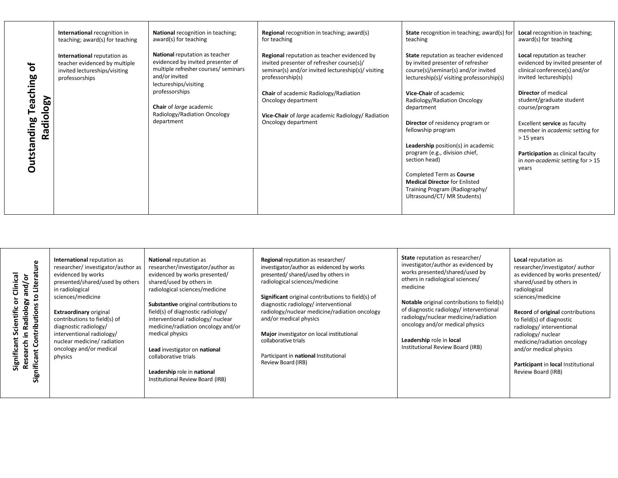|                                                            | International recognition in<br>teaching; award(s) for teaching                                                 | National recognition in teaching;<br>award(s) for teaching                                                                                             | <b>Regional</b> recognition in teaching; award(s)<br>for teaching                                                                                                  | <b>State</b> recognition in teaching; award(s) for<br>teaching                                                                                                                                                                                                                                                                                               | <b>Local</b> recognition in teaching;<br>award(s) for teaching                                                                                                                                                                                              |
|------------------------------------------------------------|-----------------------------------------------------------------------------------------------------------------|--------------------------------------------------------------------------------------------------------------------------------------------------------|--------------------------------------------------------------------------------------------------------------------------------------------------------------------|--------------------------------------------------------------------------------------------------------------------------------------------------------------------------------------------------------------------------------------------------------------------------------------------------------------------------------------------------------------|-------------------------------------------------------------------------------------------------------------------------------------------------------------------------------------------------------------------------------------------------------------|
| ৳                                                          | International reputation as<br>teacher evidenced by multiple<br>invited lectureships/visiting<br>professorships | National reputation as teacher<br>evidenced by invited presenter of<br>multiple refresher courses/ seminars<br>and/or invited<br>lectureships/visiting | Regional reputation as teacher evidenced by<br>invited presenter of refresher course(s)/<br>seminar(s) and/or invited lectureship(s)/ visiting<br>professorship(s) | State reputation as teacher evidenced<br>by invited presenter of refresher<br>course(s)/seminar(s) and/or invited<br>lectureship(s)/ visiting professorship(s)                                                                                                                                                                                               | Local reputation as teacher<br>evidenced by invited presenter of<br>clinical conference(s) and/or<br>invited lectureship(s)                                                                                                                                 |
| eaching<br><b>Naology</b><br>⊢<br><b>Outstanding</b><br>Rā |                                                                                                                 | professorships<br>Chair of large academic<br>Radiology/Radiation Oncology<br>department                                                                | Chair of academic Radiology/Radiation<br>Oncology department<br>Vice-Chair of large academic Radiology/ Radiation<br>Oncology department                           | Vice-Chair of academic<br>Radiology/Radiation Oncology<br>department<br>Director of residency program or<br>fellowship program<br>Leadership position(s) in academic<br>program (e.g., division chief,<br>section head)<br>Completed Term as Course<br><b>Medical Director for Enlisted</b><br>Training Program (Radiography/<br>Ultrasound/CT/ MR Students) | <b>Director</b> of medical<br>student/graduate student<br>course/program<br>Excellent service as faculty<br>member in <i>academic</i> setting for<br>$>15$ years<br>Participation as clinical faculty<br>in <i>non-academic</i> setting for $> 15$<br>years |
|                                                            |                                                                                                                 |                                                                                                                                                        |                                                                                                                                                                    |                                                                                                                                                                                                                                                                                                                                                              |                                                                                                                                                                                                                                                             |

| ω<br>흓<br>Clinical<br>and/or<br>Liter<br>$\circ$<br>ౚ<br>Radiolo<br>ntributior<br>Йñ<br>රි<br>동<br>sear<br>ificant<br>Signit<br>ة | International reputation as<br>researcher/investigator/author as<br>evidenced by works<br>presented/shared/used by others<br>in radiological<br>sciences/medicine<br><b>Extraordinary original</b><br>contributions to field(s) of<br>diagnostic radiology/<br>interventional radiology/<br>nuclear medicine/ radiation<br>oncology and/or medical<br>physics | <b>National reputation as</b><br>researcher/investigator/author as<br>evidenced by works presented/<br>shared/used by others in<br>radiological sciences/medicine<br>Substantive original contributions to<br>field(s) of diagnostic radiology/<br>interventional radiology/ nuclear<br>medicine/radiation oncology and/or<br>medical physics<br>Lead investigator on national<br>collaborative trials<br>Leadership role in national<br>Institutional Review Board (IRB) | Regional reputation as researcher/<br>investigator/author as evidenced by works<br>presented/shared/used by others in<br>radiological sciences/medicine<br>Significant original contributions to field(s) of<br>diagnostic radiology/ interventional<br>radiology/nuclear medicine/radiation oncology<br>and/or medical physics<br>Major investigator on local institutional<br>collaborative trials<br>Participant in national Institutional<br>Review Board (IRB) | State reputation as researcher/<br>investigator/author as evidenced by<br>works presented/shared/used by<br>others in radiological sciences/<br>medicine<br><b>Notable</b> original contributions to field(s)<br>of diagnostic radiology/interventional<br>radiology/nuclear medicine/radiation<br>oncology and/or medical physics<br>Leadership role in local<br>Institutional Review Board (IRB) | Local reputation as<br>researcher/investigator/author<br>as evidenced by works presented/<br>shared/used by others in<br>radiological<br>sciences/medicine<br>Record of original contributions<br>to field(s) of diagnostic<br>radiology/interventional<br>radiology/nuclear<br>medicine/radiation oncology<br>and/or medical physics<br>Participant in local Institutional<br>Review Board (IRB) |
|-----------------------------------------------------------------------------------------------------------------------------------|---------------------------------------------------------------------------------------------------------------------------------------------------------------------------------------------------------------------------------------------------------------------------------------------------------------------------------------------------------------|---------------------------------------------------------------------------------------------------------------------------------------------------------------------------------------------------------------------------------------------------------------------------------------------------------------------------------------------------------------------------------------------------------------------------------------------------------------------------|---------------------------------------------------------------------------------------------------------------------------------------------------------------------------------------------------------------------------------------------------------------------------------------------------------------------------------------------------------------------------------------------------------------------------------------------------------------------|----------------------------------------------------------------------------------------------------------------------------------------------------------------------------------------------------------------------------------------------------------------------------------------------------------------------------------------------------------------------------------------------------|---------------------------------------------------------------------------------------------------------------------------------------------------------------------------------------------------------------------------------------------------------------------------------------------------------------------------------------------------------------------------------------------------|
|-----------------------------------------------------------------------------------------------------------------------------------|---------------------------------------------------------------------------------------------------------------------------------------------------------------------------------------------------------------------------------------------------------------------------------------------------------------------------------------------------------------|---------------------------------------------------------------------------------------------------------------------------------------------------------------------------------------------------------------------------------------------------------------------------------------------------------------------------------------------------------------------------------------------------------------------------------------------------------------------------|---------------------------------------------------------------------------------------------------------------------------------------------------------------------------------------------------------------------------------------------------------------------------------------------------------------------------------------------------------------------------------------------------------------------------------------------------------------------|----------------------------------------------------------------------------------------------------------------------------------------------------------------------------------------------------------------------------------------------------------------------------------------------------------------------------------------------------------------------------------------------------|---------------------------------------------------------------------------------------------------------------------------------------------------------------------------------------------------------------------------------------------------------------------------------------------------------------------------------------------------------------------------------------------------|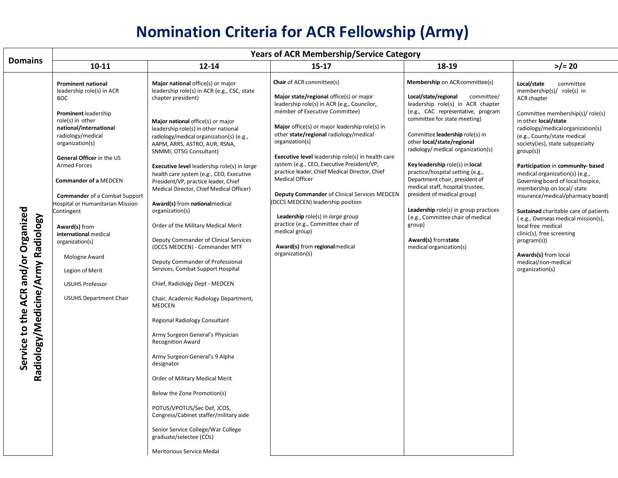## **Nomination Criteria for ACR Fellowship (Army)**

|                                                                          | <b>Years of ACR Membership/Service Category</b>                                                                                                                                                                                                                                                                                                                                                                                                                                                                                     |                                                                                                                                                                                                                                                                                                                                                                                                                                                                                                                                                                                                                                                                                                                                                                                                                                                                                                                                                                                                                                                                                                                                                                                                                       |                                                                                                                                                                                                                                                                                                                                                                                                                                                                                                                                                                                                                                                                                                          |                                                                                                                                                                                                                                                                                                                                                                                                                                                                                                                                                                                                              |                                                                                                                                                                                                                                                                                                                                                                                                                                                                                                                                                                                                                                                               |  |
|--------------------------------------------------------------------------|-------------------------------------------------------------------------------------------------------------------------------------------------------------------------------------------------------------------------------------------------------------------------------------------------------------------------------------------------------------------------------------------------------------------------------------------------------------------------------------------------------------------------------------|-----------------------------------------------------------------------------------------------------------------------------------------------------------------------------------------------------------------------------------------------------------------------------------------------------------------------------------------------------------------------------------------------------------------------------------------------------------------------------------------------------------------------------------------------------------------------------------------------------------------------------------------------------------------------------------------------------------------------------------------------------------------------------------------------------------------------------------------------------------------------------------------------------------------------------------------------------------------------------------------------------------------------------------------------------------------------------------------------------------------------------------------------------------------------------------------------------------------------|----------------------------------------------------------------------------------------------------------------------------------------------------------------------------------------------------------------------------------------------------------------------------------------------------------------------------------------------------------------------------------------------------------------------------------------------------------------------------------------------------------------------------------------------------------------------------------------------------------------------------------------------------------------------------------------------------------|--------------------------------------------------------------------------------------------------------------------------------------------------------------------------------------------------------------------------------------------------------------------------------------------------------------------------------------------------------------------------------------------------------------------------------------------------------------------------------------------------------------------------------------------------------------------------------------------------------------|---------------------------------------------------------------------------------------------------------------------------------------------------------------------------------------------------------------------------------------------------------------------------------------------------------------------------------------------------------------------------------------------------------------------------------------------------------------------------------------------------------------------------------------------------------------------------------------------------------------------------------------------------------------|--|
| <b>Domains</b>                                                           | $10 - 11$                                                                                                                                                                                                                                                                                                                                                                                                                                                                                                                           | $12 - 14$                                                                                                                                                                                                                                                                                                                                                                                                                                                                                                                                                                                                                                                                                                                                                                                                                                                                                                                                                                                                                                                                                                                                                                                                             | $15 - 17$                                                                                                                                                                                                                                                                                                                                                                                                                                                                                                                                                                                                                                                                                                | 18-19                                                                                                                                                                                                                                                                                                                                                                                                                                                                                                                                                                                                        | $>$ /= 20                                                                                                                                                                                                                                                                                                                                                                                                                                                                                                                                                                                                                                                     |  |
| Service to the ACR and/or Organized<br>Radiology/Medicine/Army Radiology | <b>Prominent national</b><br>leadership role(s) in ACR<br><b>BOC</b><br><b>Prominent leadership</b><br>role(s) in other<br>national/international<br>radiology/medical<br>organization(s)<br>General Officer in the US<br><b>Armed Forces</b><br><b>Commander of a MEDCEN</b><br><b>Commander</b> of a Combat Support<br>Hospital or Humanitarian Mission<br>Contingent<br>Award(s) from<br>international medical<br>organization(s)<br>Mologne Award<br>Legion of Merit<br><b>USUHS Professor</b><br><b>USUHS Department Chair</b> | Major national office(s) or major<br>leadership role(s) in ACR (e.g., CSC, state<br>chapter president)<br>Major national office(s) or major<br>leadership role(s) in other national<br>radiology/medical organization(s) (e.g.,<br>AAPM, ARRS, ASTRO, AUR, RSNA,<br>SNMMI, OTSG Consultant)<br><b>Executive level</b> leadership role(s) in large<br>health care system (e.g., CEO, Executive<br>President/VP, practice leader, Chief<br>Medical Director, Chief Medical Officer)<br>Award(s) from nationalmedical<br>organization(s)<br>Order of the Military Medical Merit<br>Deputy Commander of Clinical Services<br>(DCCS MEDCEN) - Commander MTF<br>Deputy Commander of Professional<br>Services, Combat Support Hospital<br>Chief, Radiology Dept - MEDCEN<br>Chair, Academic Radiology Department,<br>MEDCEN<br>Regional Radiology Consultant<br>Army Surgeon General's Physician<br><b>Recognition Award</b><br>Army Surgeon General's 9 Alpha<br>designator<br>Order of Military Medical Merit<br>Below the Zone Promotion(s)<br>POTUS/VPOTUS/Sec Def, JCOS,<br>Congress/Cabinet staffer/military aide<br>Senior Service College/War College<br>graduate/selectee (COL)<br><b>Meritorious Service Medal</b> | <b>Chair</b> of ACR committee(s)<br>Major state/regional office(s) or major<br>leadership role(s) in ACR (e.g., Councilor,<br>member of Executive Committee)<br>Major office(s) or major leadership role(s) in<br>other state/regional radiology/medical<br>organization(s)<br><b>Executive level</b> leadership role(s) in health care<br>system (e.g., CEO, Executive President/VP,<br>practice leader, Chief Medical Director, Chief<br><b>Medical Officer</b><br>Deputy Commander of Clinical Services MEDCEN<br>(DCCS MEDCEN) leadership position<br>Leadership role(s) in large group<br>practice (e.g., Committee chair of<br>medical group)<br>Award(s) from regional medical<br>organization(s) | Membership on ACR committee(s)<br>Local/state/regional<br>committee/<br>leadership role(s) in ACR chapter<br>(e.g., CAC representative, program<br>committee for state meeting)<br>Committee leadership role(s) in<br>other local/state/regional<br>radiology/ medical organization(s)<br>Key leadership role(s) in local<br>practice/hospital setting (e.g.,<br>Department chair, president of<br>medical staff, hospital trustee,<br>president of medical group)<br>Leadership role(s) in group practices<br>(e.g., Committee chair of medical<br>group)<br>Award(s) from state<br>medical organization(s) | Local/state<br>committee<br>membership(s)/ role(s) in<br><b>ACR</b> chapter<br>Committee membership(s)/ role(s)<br>in other local/state<br>radiology/medicalorganization(s)<br>(e.g., County/state medical<br>society(ies), state subspecialty<br>group(s))<br>Participation in community-based<br>medical organization(s) (e.g.,<br>Governing board of local hospice,<br>membership on local/ state<br>insurance/medical/pharmacy board)<br>Sustained charitable care of patients<br>(e.g., Overseas medical mission(s),<br>local free medical<br>clinic(s), free screening<br>program(s))<br>Awards(s) from local<br>medical/non-medical<br>organization(s) |  |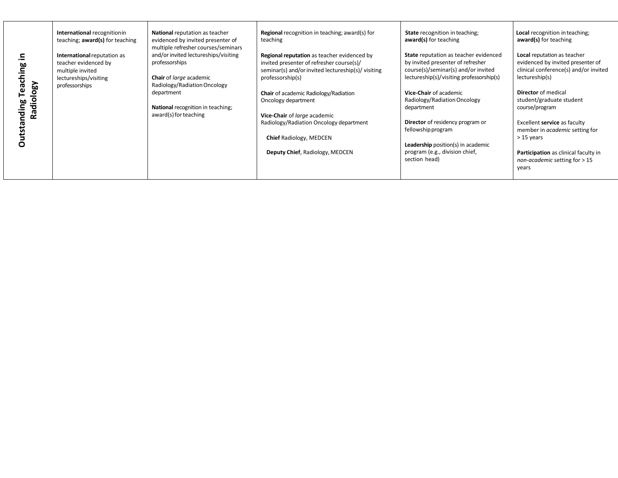|                      | International recognitionin<br>teaching; award(s) for teaching                                   | National reputation as teacher<br>evidenced by invited presenter of<br>multiple refresher courses/seminars        | <b>Regional</b> recognition in teaching; award(s) for<br>teaching                                                                                                  | <b>State</b> recognition in teaching;<br>award(s) for teaching                                                                                                | <b>Local</b> recognition in teaching;<br>award(s) for teaching                                                              |
|----------------------|--------------------------------------------------------------------------------------------------|-------------------------------------------------------------------------------------------------------------------|--------------------------------------------------------------------------------------------------------------------------------------------------------------------|---------------------------------------------------------------------------------------------------------------------------------------------------------------|-----------------------------------------------------------------------------------------------------------------------------|
| Radiology<br>ဗူ<br>튱 | International reputation as<br>teacher evidenced by<br>multiple invited<br>lectureships/visiting | and/or invited lectureships/visiting<br>professorships<br>Chair of large academic<br>Radiology/Radiation Oncology | Regional reputation as teacher evidenced by<br>invited presenter of refresher course(s)/<br>seminar(s) and/or invited lectureship(s)/ visiting<br>professorship(s) | State reputation as teacher evidenced<br>by invited presenter of refresher<br>course(s)/seminar(s) and/or invited<br>lectureship(s)/visiting professorship(s) | Local reputation as teacher<br>evidenced by invited presenter of<br>clinical conference(s) and/or invited<br>lectureship(s) |
|                      | professorships                                                                                   | department<br>National recognition in teaching;<br>award(s) for teaching                                          | Chair of academic Radiology/Radiation<br>Oncology department<br>Vice-Chair of large academic                                                                       | Vice-Chair of academic<br>Radiology/Radiation Oncology<br>department                                                                                          | <b>Director</b> of medical<br>student/graduate student<br>course/program                                                    |
|                      |                                                                                                  |                                                                                                                   | Radiology/Radiation Oncology department                                                                                                                            | Director of residency program or<br>fellowship program                                                                                                        | Excellent service as faculty<br>member in <i>academic</i> setting for                                                       |
|                      |                                                                                                  |                                                                                                                   | <b>Chief Radiology, MEDCEN</b>                                                                                                                                     | <b>Leadership</b> position(s) in academic                                                                                                                     | $>15$ years                                                                                                                 |
|                      |                                                                                                  |                                                                                                                   | Deputy Chief, Radiology, MEDCEN                                                                                                                                    | program (e.g., division chief,<br>section head)                                                                                                               | Participation as clinical faculty in<br>non-academic setting for $> 15$<br>years                                            |
|                      |                                                                                                  |                                                                                                                   |                                                                                                                                                                    |                                                                                                                                                               |                                                                                                                             |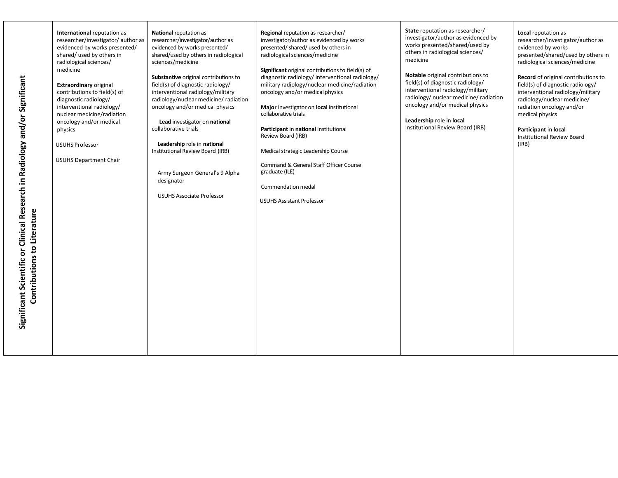| Significant Scientific or Clinical Research in Radiology and/or Significant<br>Contributions to Literature | International reputation as<br>researcher/investigator/author as<br>evidenced by works presented/<br>shared/ used by others in<br>radiological sciences/<br>medicine<br><b>Extraordinary original</b><br>contributions to field(s) of<br>diagnostic radiology/<br>interventional radiology/<br>nuclear medicine/radiation<br>oncology and/or medical<br>physics<br><b>USUHS Professor</b><br><b>USUHS Department Chair</b> | <b>National reputation as</b><br>researcher/investigator/author as<br>evidenced by works presented/<br>shared/used by others in radiological<br>sciences/medicine<br>Substantive original contributions to<br>field(s) of diagnostic radiology/<br>interventional radiology/military<br>radiology/nuclear medicine/ radiation<br>oncology and/or medical physics<br>Lead investigator on national<br>collaborative trials<br>Leadership role in national<br>Institutional Review Board (IRB)<br>Army Surgeon General's 9 Alpha<br>designator<br><b>USUHS Associate Professor</b> | Regional reputation as researcher/<br>investigator/author as evidenced by works<br>presented/shared/used by others in<br>radiological sciences/medicine<br>Significant original contributions to field(s) of<br>diagnostic radiology/interventional radiology/<br>military radiology/nuclear medicine/radiation<br>oncology and/or medical physics<br>Major investigator on local institutional<br>collaborative trials<br>Participant in national Institutional<br>Review Board (IRB)<br>Medical strategic Leadership Course<br>Command & General Staff Officer Course<br>graduate (ILE)<br>Commendation medal<br><b>USUHS Assistant Professor</b> | State reputation as researcher/<br>investigator/author as evidenced by<br>works presented/shared/used by<br>others in radiological sciences/<br>medicine<br>Notable original contributions to<br>field(s) of diagnostic radiology/<br>interventional radiology/military<br>radiology/ nuclear medicine/ radiation<br>oncology and/or medical physics<br>Leadership role in local<br>Institutional Review Board (IRB) | Local reputation as<br>researcher/investigator/author as<br>evidenced by works<br>presented/shared/used by others in<br>radiological sciences/medicine<br>Record of original contributions to<br>field(s) of diagnostic radiology/<br>interventional radiology/military<br>radiology/nuclear medicine/<br>radiation oncology and/or<br>medical physics<br>Participant in local<br><b>Institutional Review Board</b><br>(IRB) |
|------------------------------------------------------------------------------------------------------------|----------------------------------------------------------------------------------------------------------------------------------------------------------------------------------------------------------------------------------------------------------------------------------------------------------------------------------------------------------------------------------------------------------------------------|----------------------------------------------------------------------------------------------------------------------------------------------------------------------------------------------------------------------------------------------------------------------------------------------------------------------------------------------------------------------------------------------------------------------------------------------------------------------------------------------------------------------------------------------------------------------------------|-----------------------------------------------------------------------------------------------------------------------------------------------------------------------------------------------------------------------------------------------------------------------------------------------------------------------------------------------------------------------------------------------------------------------------------------------------------------------------------------------------------------------------------------------------------------------------------------------------------------------------------------------------|----------------------------------------------------------------------------------------------------------------------------------------------------------------------------------------------------------------------------------------------------------------------------------------------------------------------------------------------------------------------------------------------------------------------|------------------------------------------------------------------------------------------------------------------------------------------------------------------------------------------------------------------------------------------------------------------------------------------------------------------------------------------------------------------------------------------------------------------------------|
|------------------------------------------------------------------------------------------------------------|----------------------------------------------------------------------------------------------------------------------------------------------------------------------------------------------------------------------------------------------------------------------------------------------------------------------------------------------------------------------------------------------------------------------------|----------------------------------------------------------------------------------------------------------------------------------------------------------------------------------------------------------------------------------------------------------------------------------------------------------------------------------------------------------------------------------------------------------------------------------------------------------------------------------------------------------------------------------------------------------------------------------|-----------------------------------------------------------------------------------------------------------------------------------------------------------------------------------------------------------------------------------------------------------------------------------------------------------------------------------------------------------------------------------------------------------------------------------------------------------------------------------------------------------------------------------------------------------------------------------------------------------------------------------------------------|----------------------------------------------------------------------------------------------------------------------------------------------------------------------------------------------------------------------------------------------------------------------------------------------------------------------------------------------------------------------------------------------------------------------|------------------------------------------------------------------------------------------------------------------------------------------------------------------------------------------------------------------------------------------------------------------------------------------------------------------------------------------------------------------------------------------------------------------------------|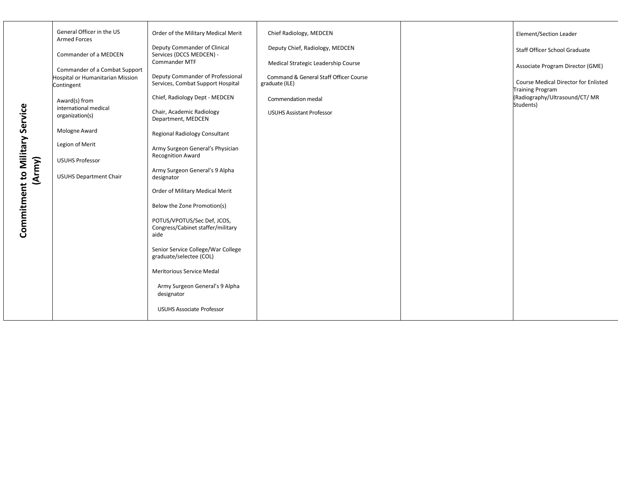|                                | General Officer in the US                             | Order of the Military Medical Merit                                      | Chief Radiology, MEDCEN                                  | Element/Section Leader                                                 |
|--------------------------------|-------------------------------------------------------|--------------------------------------------------------------------------|----------------------------------------------------------|------------------------------------------------------------------------|
|                                | <b>Armed Forces</b><br>Commander of a MEDCEN          | Deputy Commander of Clinical<br>Services (DCCS MEDCEN) -                 | Deputy Chief, Radiology, MEDCEN                          | Staff Officer School Graduate                                          |
|                                | Commander of a Combat Support                         | Commander MTF                                                            | Medical Strategic Leadership Course                      | Associate Program Director (GME)                                       |
|                                | <b>Hospital or Humanitarian Mission</b><br>Contingent | Deputy Commander of Professional<br>Services, Combat Support Hospital    | Command & General Staff Officer Course<br>graduate (ILE) | <b>Course Medical Director for Enlisted</b><br><b>Training Program</b> |
|                                | Award(s) from                                         | Chief, Radiology Dept - MEDCEN                                           | Commendation medal                                       | (Radiography/Ultrasound/CT/MR<br>Students)                             |
|                                | international medical<br>organization(s)              | Chair, Academic Radiology<br>Department, MEDCEN                          | <b>USUHS Assistant Professor</b>                         |                                                                        |
|                                | Mologne Award                                         | Regional Radiology Consultant                                            |                                                          |                                                                        |
|                                | Legion of Merit                                       | Army Surgeon General's Physician                                         |                                                          |                                                                        |
|                                | <b>USUHS Professor</b>                                | <b>Recognition Award</b>                                                 |                                                          |                                                                        |
| (Army)                         | <b>USUHS Department Chair</b>                         | Army Surgeon General's 9 Alpha<br>designator                             |                                                          |                                                                        |
|                                |                                                       | Order of Military Medical Merit                                          |                                                          |                                                                        |
|                                |                                                       | Below the Zone Promotion(s)                                              |                                                          |                                                                        |
| Commitment to Military Service |                                                       | POTUS/VPOTUS/Sec Def, JCOS,<br>Congress/Cabinet staffer/military<br>aide |                                                          |                                                                        |
|                                |                                                       | Senior Service College/War College<br>graduate/selectee (COL)            |                                                          |                                                                        |
|                                |                                                       | Meritorious Service Medal                                                |                                                          |                                                                        |
|                                |                                                       | Army Surgeon General's 9 Alpha<br>designator                             |                                                          |                                                                        |
|                                |                                                       | <b>USUHS Associate Professor</b>                                         |                                                          |                                                                        |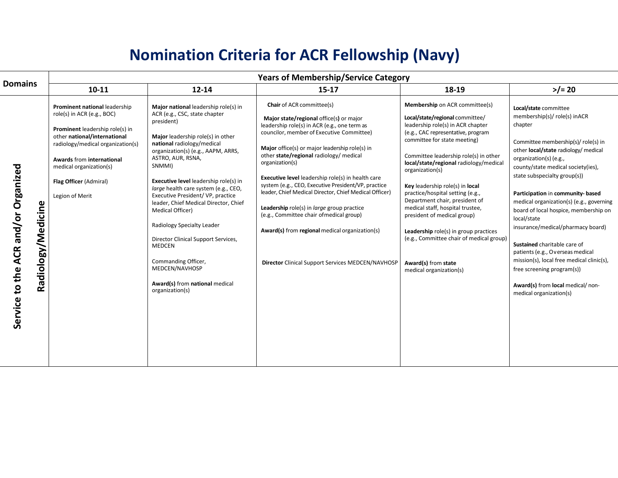## **Nomination Criteria for ACR Fellowship (Navy)**

|                                                           | <b>Years of Membership/Service Category</b>                                                                                                                                                                                                                              |                                                                                                                                                                                                                                                                                                                                                                                                                                                                                                                                                                                                   |                                                                                                                                                                                                                                                                                                                                                                                                                                                                                                                                                                                                                                                                                      |                                                                                                                                                                                                                                                                                                                                                                                                                                                                                                                                                                                                       |                                                                                                                                                                                                                                                                                                                                                                                                                                                                                                                                                                                                                                            |  |
|-----------------------------------------------------------|--------------------------------------------------------------------------------------------------------------------------------------------------------------------------------------------------------------------------------------------------------------------------|---------------------------------------------------------------------------------------------------------------------------------------------------------------------------------------------------------------------------------------------------------------------------------------------------------------------------------------------------------------------------------------------------------------------------------------------------------------------------------------------------------------------------------------------------------------------------------------------------|--------------------------------------------------------------------------------------------------------------------------------------------------------------------------------------------------------------------------------------------------------------------------------------------------------------------------------------------------------------------------------------------------------------------------------------------------------------------------------------------------------------------------------------------------------------------------------------------------------------------------------------------------------------------------------------|-------------------------------------------------------------------------------------------------------------------------------------------------------------------------------------------------------------------------------------------------------------------------------------------------------------------------------------------------------------------------------------------------------------------------------------------------------------------------------------------------------------------------------------------------------------------------------------------------------|--------------------------------------------------------------------------------------------------------------------------------------------------------------------------------------------------------------------------------------------------------------------------------------------------------------------------------------------------------------------------------------------------------------------------------------------------------------------------------------------------------------------------------------------------------------------------------------------------------------------------------------------|--|
| <b>Domains</b>                                            | $10 - 11$                                                                                                                                                                                                                                                                | 12-14                                                                                                                                                                                                                                                                                                                                                                                                                                                                                                                                                                                             | $15-17$                                                                                                                                                                                                                                                                                                                                                                                                                                                                                                                                                                                                                                                                              | 18-19                                                                                                                                                                                                                                                                                                                                                                                                                                                                                                                                                                                                 | $>$ /= 20                                                                                                                                                                                                                                                                                                                                                                                                                                                                                                                                                                                                                                  |  |
| Service to the ACR and/or Organized<br>Radiology/Medicine | Prominent national leadership<br>role(s) in ACR (e.g., BOC)<br>Prominent leadership role(s) in<br>other national/international<br>radiology/medical organization(s)<br>Awards from international<br>medical organization(s)<br>Flag Officer (Admiral)<br>Legion of Merit | Major national leadership role(s) in<br>ACR (e.g., CSC, state chapter<br>president)<br>Major leadership role(s) in other<br>national radiology/medical<br>organization(s) (e.g., AAPM, ARRS,<br>ASTRO, AUR, RSNA,<br>SNMMI)<br>Executive level leadership role(s) in<br>large health care system (e.g., CEO,<br>Executive President/VP, practice<br>leader, Chief Medical Director, Chief<br>Medical Officer)<br>Radiology Specialty Leader<br>Director Clinical Support Services,<br><b>MEDCEN</b><br>Commanding Officer,<br>MEDCEN/NAVHOSP<br>Award(s) from national medical<br>organization(s) | <b>Chair</b> of ACR committee(s)<br>Major state/regional office(s) or major<br>leadership role(s) in ACR (e.g., one term as<br>councilor, member of Executive Committee)<br>Major office(s) or major leadership role(s) in<br>other state/regional radiology/ medical<br>organization(s)<br><b>Executive level</b> leadership role(s) in health care<br>system (e.g., CEO, Executive President/VP, practice<br>leader, Chief Medical Director, Chief Medical Officer)<br>Leadership role(s) in <i>large</i> group practice<br>(e.g., Committee chair of medical group)<br>Award(s) from regional medical organization(s)<br><b>Director Clinical Support Services MEDCEN/NAVHOSP</b> | Membership on ACR committee(s)<br>Local/state/regional committee/<br>leadership role(s) in ACR chapter<br>(e.g., CAC representative, program<br>committee for state meeting)<br>Committee leadership role(s) in other<br>local/state/regional radiology/medical<br>organization(s)<br>Key leadership role(s) in local<br>practice/hospital setting (e.g.,<br>Department chair, president of<br>medical staff, hospital trustee,<br>president of medical group)<br>Leadership role(s) in group practices<br>(e.g., Committee chair of medical group)<br>Award(s) from state<br>medical organization(s) | Local/state committee<br>membership(s)/ role(s) inACR<br>chapter<br>Committee membership(s)/ role(s) in<br>other local/state radiology/ medical<br>organization(s) (e.g.,<br>county/state medical society(ies),<br>state subspecialty group(s))<br>Participation in community-based<br>medical organization(s) (e.g., governing<br>board of local hospice, membership on<br>local/state<br>insurance/medical/pharmacy board)<br>Sustained charitable care of<br>patients (e.g., Overseas medical<br>mission(s), local free medical clinic(s),<br>free screening program(s))<br>Award(s) from local medical/non-<br>medical organization(s) |  |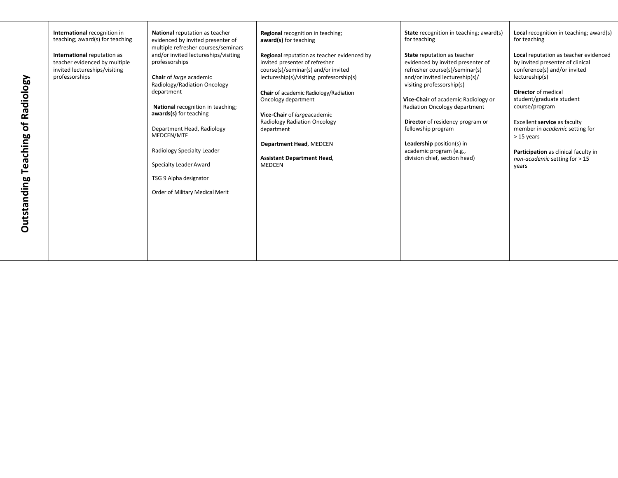| Radiology<br>$\mathbf{b}$<br>Teaching | International recognition in<br>teaching; award(s) for teaching<br>International reputation as<br>teacher evidenced by multiple<br>invited lectureships/visiting<br>professorships | National reputation as teacher<br>evidenced by invited presenter of<br>multiple refresher courses/seminars<br>and/or invited lectureships/visiting<br>professorships<br>Chair of large academic<br>Radiology/Radiation Oncology<br>department<br>National recognition in teaching;<br>awards(s) for teaching<br>Department Head, Radiology<br>MEDCEN/MTF<br>Radiology Specialty Leader<br>Specialty Leader Award<br>TSG 9 Alpha designator | Regional recognition in teaching;<br>award(s) for teaching<br>Regional reputation as teacher evidenced by<br>invited presenter of refresher<br>course(s)/seminar(s) and/or invited<br>lectureship(s)/visiting professorship(s)<br>Chair of academic Radiology/Radiation<br>Oncology department<br>Vice-Chair of largeacademic<br><b>Radiology Radiation Oncology</b><br>department<br>Department Head, MEDCEN<br><b>Assistant Department Head,</b><br>MEDCEN | <b>State</b> recognition in teaching; award(s)<br>for teaching<br><b>State</b> reputation as teacher<br>evidenced by invited presenter of<br>refresher course(s)/seminar(s)<br>and/or invited lectureship(s)/<br>visiting professorship(s)<br>Vice-Chair of academic Radiology or<br>Radiation Oncology department<br>Director of residency program or<br>fellowship program<br>Leadership position(s) in<br>academic program (e.g.,<br>division chief, section head) | Local recognition in teaching; award(s)<br>for teaching<br>Local reputation as teacher evidenced<br>by invited presenter of clinical<br>conference(s) and/or invited<br>lectureship(s)<br><b>Director</b> of medical<br>student/graduate student<br>course/program<br>Excellent service as faculty<br>member in academic setting for<br>$>15$ years<br>Participation as clinical faculty in<br>non-academic setting for > 15<br>years |
|---------------------------------------|------------------------------------------------------------------------------------------------------------------------------------------------------------------------------------|--------------------------------------------------------------------------------------------------------------------------------------------------------------------------------------------------------------------------------------------------------------------------------------------------------------------------------------------------------------------------------------------------------------------------------------------|--------------------------------------------------------------------------------------------------------------------------------------------------------------------------------------------------------------------------------------------------------------------------------------------------------------------------------------------------------------------------------------------------------------------------------------------------------------|-----------------------------------------------------------------------------------------------------------------------------------------------------------------------------------------------------------------------------------------------------------------------------------------------------------------------------------------------------------------------------------------------------------------------------------------------------------------------|---------------------------------------------------------------------------------------------------------------------------------------------------------------------------------------------------------------------------------------------------------------------------------------------------------------------------------------------------------------------------------------------------------------------------------------|
| Outstanding                           |                                                                                                                                                                                    | Order of Military Medical Merit                                                                                                                                                                                                                                                                                                                                                                                                            |                                                                                                                                                                                                                                                                                                                                                                                                                                                              |                                                                                                                                                                                                                                                                                                                                                                                                                                                                       |                                                                                                                                                                                                                                                                                                                                                                                                                                       |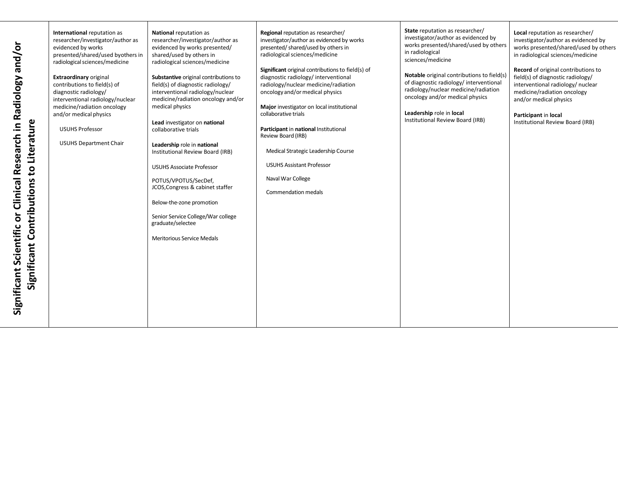| and/or<br>Radiology<br>Literature<br>Research in<br>$\overline{5}$<br>Clinical<br>Contributions<br>Significant Scientific or<br>Significant | International reputation as<br>researcher/investigator/author as<br>evidenced by works<br>presented/shared/used byothers in<br>radiological sciences/medicine<br><b>Extraordinary original</b><br>contributions to field(s) of<br>diagnostic radiology/<br>interventional radiology/nuclear<br>medicine/radiation oncology<br>and/or medical physics<br><b>USUHS Professor</b><br><b>USUHS Department Chair</b> | <b>National reputation as</b><br>researcher/investigator/author as<br>evidenced by works presented/<br>shared/used by others in<br>radiological sciences/medicine<br>Substantive original contributions to<br>field(s) of diagnostic radiology/<br>interventional radiology/nuclear<br>medicine/radiation oncology and/or<br>medical physics<br>Lead investigator on national<br>collaborative trials<br>Leadership role in national<br>Institutional Review Board (IRB)<br><b>USUHS Associate Professor</b><br>POTUS/VPOTUS/SecDef,<br>JCOS, Congress & cabinet staffer<br>Below-the-zone promotion<br>Senior Service College/War college<br>graduate/selectee<br><b>Meritorious Service Medals</b> | Regional reputation as researcher/<br>investigator/author as evidenced by works<br>presented/shared/used by others in<br>radiological sciences/medicine<br>Significant original contributions to field(s) of<br>diagnostic radiology/interventional<br>radiology/nuclear medicine/radiation<br>oncology and/or medical physics<br>Major investigator on local institutional<br>collaborative trials<br>Participant in national Institutional<br>Review Board (IRB)<br>Medical Strategic Leadership Course<br><b>USUHS Assistant Professor</b><br>Naval War College<br><b>Commendation medals</b> | State reputation as researcher/<br>investigator/author as evidenced by<br>works presented/shared/used by others<br>in radiological<br>sciences/medicine<br>Notable original contributions to field(s)<br>of diagnostic radiology/interventional<br>radiology/nuclear medicine/radiation<br>oncology and/or medical physics<br>Leadership role in local<br>Institutional Review Board (IRB) | Local reputation as researcher/<br>investigator/author as evidenced by<br>works presented/shared/used by others<br>in radiological sciences/medicine<br>Record of original contributions to<br>field(s) of diagnostic radiology/<br>interventional radiology/ nuclear<br>medicine/radiation oncology<br>and/or medical physics<br>Participant in local<br>Institutional Review Board (IRB) |
|---------------------------------------------------------------------------------------------------------------------------------------------|-----------------------------------------------------------------------------------------------------------------------------------------------------------------------------------------------------------------------------------------------------------------------------------------------------------------------------------------------------------------------------------------------------------------|------------------------------------------------------------------------------------------------------------------------------------------------------------------------------------------------------------------------------------------------------------------------------------------------------------------------------------------------------------------------------------------------------------------------------------------------------------------------------------------------------------------------------------------------------------------------------------------------------------------------------------------------------------------------------------------------------|--------------------------------------------------------------------------------------------------------------------------------------------------------------------------------------------------------------------------------------------------------------------------------------------------------------------------------------------------------------------------------------------------------------------------------------------------------------------------------------------------------------------------------------------------------------------------------------------------|--------------------------------------------------------------------------------------------------------------------------------------------------------------------------------------------------------------------------------------------------------------------------------------------------------------------------------------------------------------------------------------------|--------------------------------------------------------------------------------------------------------------------------------------------------------------------------------------------------------------------------------------------------------------------------------------------------------------------------------------------------------------------------------------------|
|---------------------------------------------------------------------------------------------------------------------------------------------|-----------------------------------------------------------------------------------------------------------------------------------------------------------------------------------------------------------------------------------------------------------------------------------------------------------------------------------------------------------------------------------------------------------------|------------------------------------------------------------------------------------------------------------------------------------------------------------------------------------------------------------------------------------------------------------------------------------------------------------------------------------------------------------------------------------------------------------------------------------------------------------------------------------------------------------------------------------------------------------------------------------------------------------------------------------------------------------------------------------------------------|--------------------------------------------------------------------------------------------------------------------------------------------------------------------------------------------------------------------------------------------------------------------------------------------------------------------------------------------------------------------------------------------------------------------------------------------------------------------------------------------------------------------------------------------------------------------------------------------------|--------------------------------------------------------------------------------------------------------------------------------------------------------------------------------------------------------------------------------------------------------------------------------------------------------------------------------------------------------------------------------------------|--------------------------------------------------------------------------------------------------------------------------------------------------------------------------------------------------------------------------------------------------------------------------------------------------------------------------------------------------------------------------------------------|